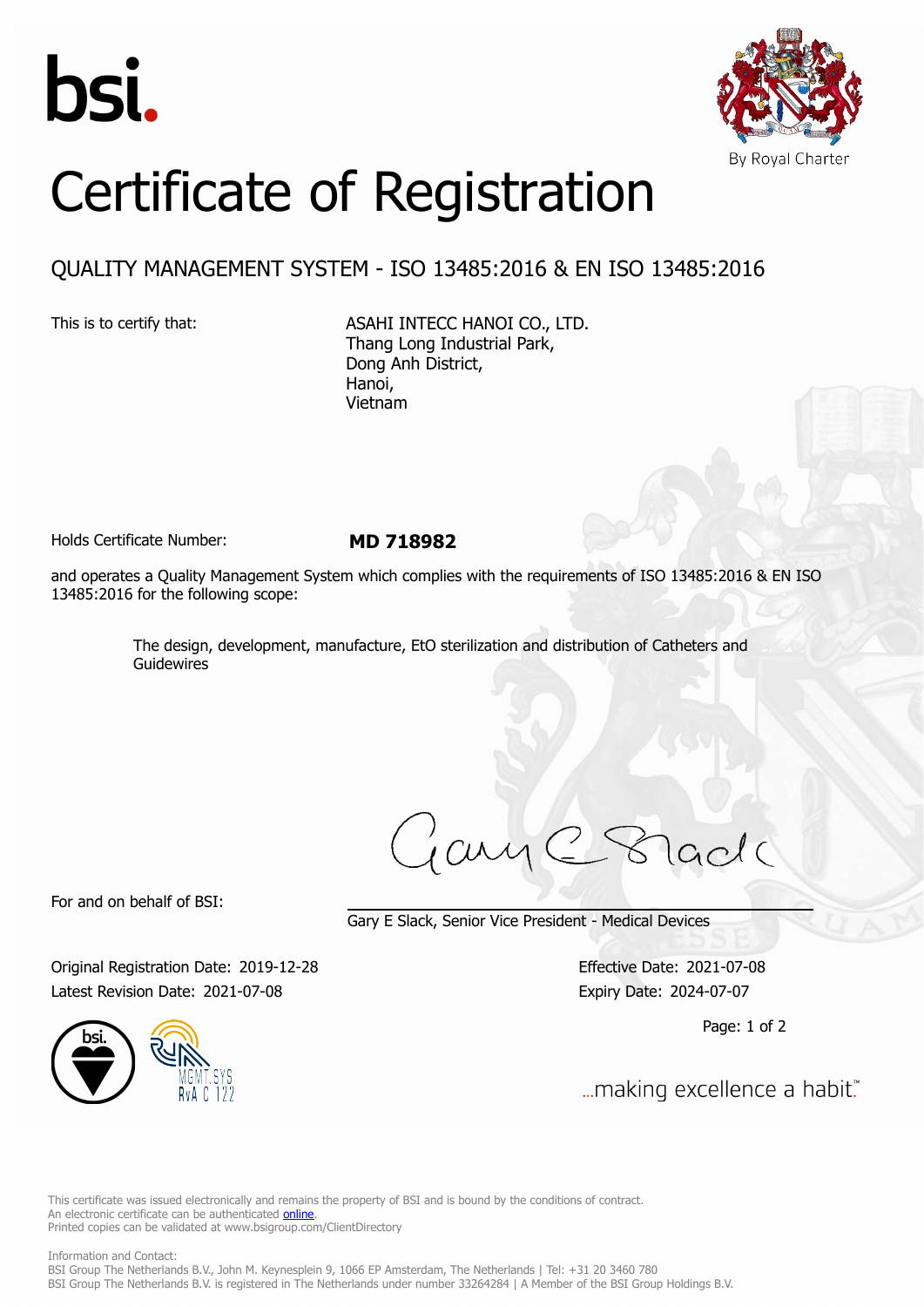



## Certificate of Registration

## QUALITY MANAGEMENT SYSTEM - ISO 13485:2016 & EN ISO 13485:2016

This is to certify that: ASAHI INTECC HANOI CO., LTD. Thang Long Industrial Park, Dong Anh District, Hanoi, Vietnam

Holds Certificate Number: **MD 718982**

and operates a Quality Management System which complies with the requirements of ISO 13485:2016 & EN ISO 13485:2016 for the following scope:

> The design, development, manufacture, EtO sterilization and distribution of Catheters and Guidewires

For and on behalf of BSI:

Gary E Slack, Senior Vice President - Medical Devices

Original Registration Date: 2019-12-28 Effective Date: 2021-07-08 Latest Revision Date: 2021-07-08 Expiry Date: 2024-07-07

Page: 1 of 2



... making excellence a habit."

This certificate was issued electronically and remains the property of BSI and is bound by the conditions of contract. An electronic certificate can be authenticated **[online](https://pgplus.bsigroup.com/CertificateValidation/CertificateValidator.aspx?CertificateNumber=MD+718982&ReIssueDate=08%2f07%2f2021&Template=uk)**. Printed copies can be validated at www.bsigroup.com/ClientDirectory

Information and Contact: BSI Group The Netherlands B.V., John M. Keynesplein 9, 1066 EP Amsterdam, The Netherlands | Tel: +31 20 3460 780 BSI Group The Netherlands B.V. is registered in The Netherlands under number 33264284 | A Member of the BSI Group Holdings B.V.